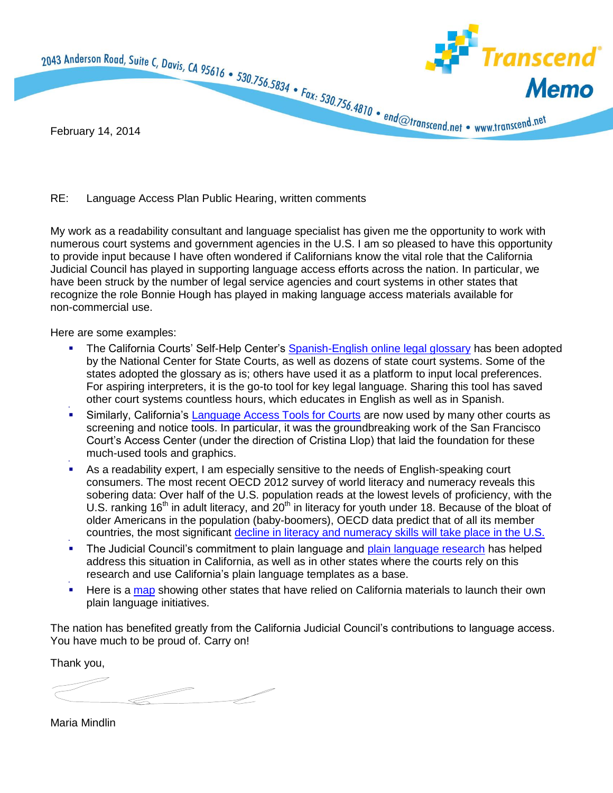

## RE: Language Access Plan Public Hearing, written comments

My work as a readability consultant and language specialist has given me the opportunity to work with numerous court systems and government agencies in the U.S. I am so pleased to have this opportunity to provide input because I have often wondered if Californians know the vital role that the California Judicial Council has played in supporting language access efforts across the nation. In particular, we have been struck by the number of legal service agencies and court systems in other states that recognize the role Bonnie Hough has played in making language access materials available for non-commercial use.

Here are some examples:

- The California Courts' Self-Help Center's [Spanish-English online legal glossary](http://www.courts.ca.gov/selfhelp-glossary.htm) has been adopted by the National Center for State Courts, as well as dozens of state court systems. Some of the states adopted the glossary as is; others have used it as a platform to input local preferences. For aspiring interpreters, it is the go-to tool for key legal language. Sharing this tool has saved other court systems countless hours, which educates in English as well as in Spanish.
- ۰ Similarly, California's [Language Access Tools for Courts](http://www.transcend.net/library/legalCourts/Lang_Access_Transcend.pdf) are now used by many other courts as screening and notice tools. In particular, it was the groundbreaking work of the San Francisco Court's Access Center (under the direction of Cristina Llop) that laid the foundation for these much-used tools and graphics.
- ۰ As a readability expert, I am especially sensitive to the needs of English-speaking court consumers. The most recent OECD 2012 survey of world literacy and numeracy reveals this sobering data: Over half of the U.S. population reads at the lowest levels of proficiency, with the U.S. ranking 16<sup>th</sup> in adult literacy, and 20<sup>th</sup> in literacy for youth under 18. Because of the bloat of older Americans in the population (baby-boomers), OECD data predict that of all its member countries, the most significant [decline in literacy and numeracy skills will take place in the U.S.](http://www.oecd.org/site/piaac/chapter3thesocio-demographicdistributionofkeyinformation-processingskills.htm)
- ۰ The Judicial Council's commitment to plain language and [plain language research](https://litigation-essentials.lexisnexis.com/webcd/app?action=DocumentDisplay&crawlid=1&srctype=smi&srcid=3B15&doctype=cite&docid=10+Scribes+J.+Legal+Writing+55&key=0380b00d20981b21e698beebe4930ee8) has helped address this situation in California, as well as in other states where the courts rely on this research and use California's plain language templates as a base.
- ۰ Here is a [map](http://www.transcend.net/library/PLMap.html) showing other states that have relied on California materials to launch their own plain language initiatives.

The nation has benefited greatly from the California Judicial Council's contributions to language access. You have much to be proud of. Carry on!

Thank you,

Maria Mindlin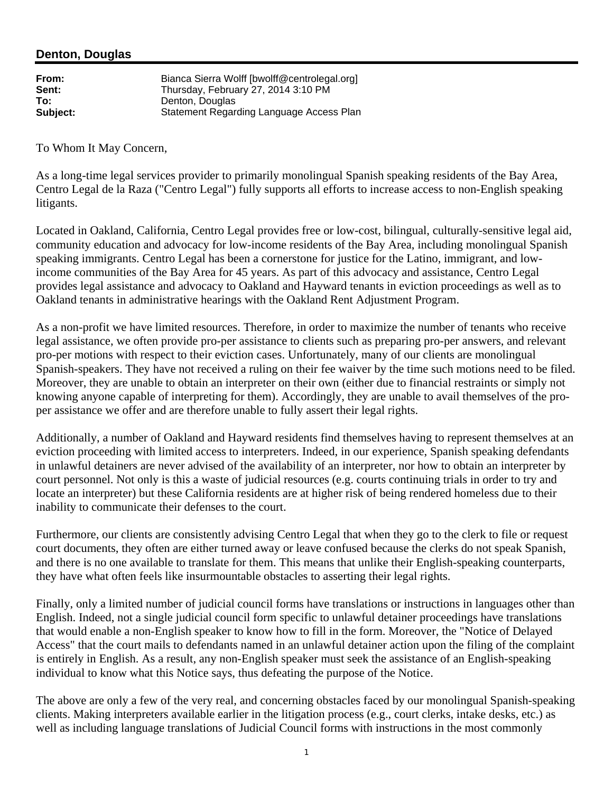## **Denton, Douglas**

| From:    | Bianca Sierra Wolff [bwolff@centrolegal.org] |
|----------|----------------------------------------------|
| Sent:    | Thursday, February 27, 2014 3:10 PM          |
| To:      | Denton, Douglas                              |
| Subject: | Statement Regarding Language Access Plan     |

To Whom It May Concern,

As a long-time legal services provider to primarily monolingual Spanish speaking residents of the Bay Area, Centro Legal de la Raza ("Centro Legal") fully supports all efforts to increase access to non-English speaking litigants.

Located in Oakland, California, Centro Legal provides free or low-cost, bilingual, culturally-sensitive legal aid, community education and advocacy for low-income residents of the Bay Area, including monolingual Spanish speaking immigrants. Centro Legal has been a cornerstone for justice for the Latino, immigrant, and lowincome communities of the Bay Area for 45 years. As part of this advocacy and assistance, Centro Legal provides legal assistance and advocacy to Oakland and Hayward tenants in eviction proceedings as well as to Oakland tenants in administrative hearings with the Oakland Rent Adjustment Program.

As a non-profit we have limited resources. Therefore, in order to maximize the number of tenants who receive legal assistance, we often provide pro-per assistance to clients such as preparing pro-per answers, and relevant pro-per motions with respect to their eviction cases. Unfortunately, many of our clients are monolingual Spanish-speakers. They have not received a ruling on their fee waiver by the time such motions need to be filed. Moreover, they are unable to obtain an interpreter on their own (either due to financial restraints or simply not knowing anyone capable of interpreting for them). Accordingly, they are unable to avail themselves of the proper assistance we offer and are therefore unable to fully assert their legal rights.

Additionally, a number of Oakland and Hayward residents find themselves having to represent themselves at an eviction proceeding with limited access to interpreters. Indeed, in our experience, Spanish speaking defendants in unlawful detainers are never advised of the availability of an interpreter, nor how to obtain an interpreter by court personnel. Not only is this a waste of judicial resources (e.g. courts continuing trials in order to try and locate an interpreter) but these California residents are at higher risk of being rendered homeless due to their inability to communicate their defenses to the court.

Furthermore, our clients are consistently advising Centro Legal that when they go to the clerk to file or request court documents, they often are either turned away or leave confused because the clerks do not speak Spanish, and there is no one available to translate for them. This means that unlike their English-speaking counterparts, they have what often feels like insurmountable obstacles to asserting their legal rights.

Finally, only a limited number of judicial council forms have translations or instructions in languages other than English. Indeed, not a single judicial council form specific to unlawful detainer proceedings have translations that would enable a non-English speaker to know how to fill in the form. Moreover, the "Notice of Delayed Access" that the court mails to defendants named in an unlawful detainer action upon the filing of the complaint is entirely in English. As a result, any non-English speaker must seek the assistance of an English-speaking individual to know what this Notice says, thus defeating the purpose of the Notice.

The above are only a few of the very real, and concerning obstacles faced by our monolingual Spanish-speaking clients. Making interpreters available earlier in the litigation process (e.g., court clerks, intake desks, etc.) as well as including language translations of Judicial Council forms with instructions in the most commonly